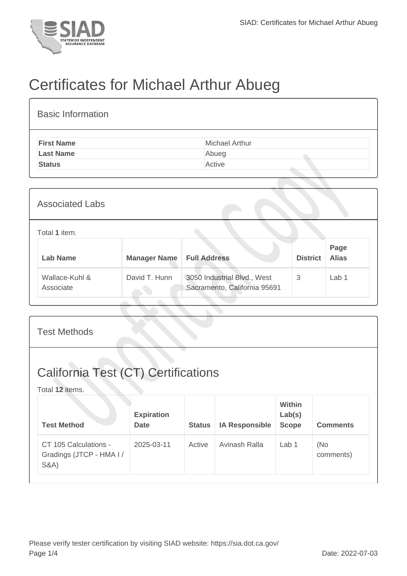

## Certificates for Michael Arthur Abueg

| <b>Basic Information</b> |                |
|--------------------------|----------------|
| <b>First Name</b>        | Michael Arthur |
| <b>Last Name</b>         | Abueg          |
| <b>Status</b>            | Active         |
|                          |                |

| <b>Associated Labs</b>      |                     |                                                             |                 |                      |
|-----------------------------|---------------------|-------------------------------------------------------------|-----------------|----------------------|
| Total 1 item.               |                     |                                                             |                 |                      |
| <b>Lab Name</b>             | <b>Manager Name</b> | <b>Full Address</b>                                         | <b>District</b> | Page<br><b>Alias</b> |
| Wallace-Kuhl &<br>Associate | David T. Hunn       | 3050 Industrial Blvd., West<br>Sacramento, California 95691 | 3               | Lab <sub>1</sub>     |

| <b>Test Methods</b>                                                  |                                  |               |                       |                                  |                  |  |
|----------------------------------------------------------------------|----------------------------------|---------------|-----------------------|----------------------------------|------------------|--|
| <b>California Test (CT) Certifications</b><br>Total 12 items.        |                                  |               |                       |                                  |                  |  |
| <b>Test Method</b>                                                   | <b>Expiration</b><br><b>Date</b> | <b>Status</b> | <b>IA Responsible</b> | Within<br>Lab(s)<br><b>Scope</b> | <b>Comments</b>  |  |
| CT 105 Calculations -<br>Gradings (JTCP - HMA I /<br><b>S&amp;A)</b> | 2025-03-11                       | Active        | Avinash Ralla         | Lab <sub>1</sub>                 | (No<br>comments) |  |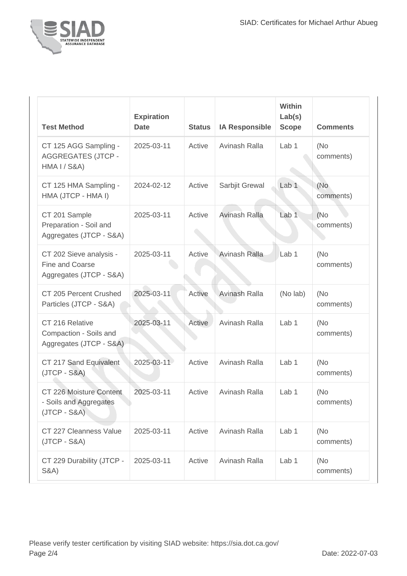

| <b>Test Method</b>                                                            | <b>Expiration</b><br><b>Date</b> | <b>Status</b> | <b>IA Responsible</b> | Within<br>Lab(s)<br><b>Scope</b> | <b>Comments</b>   |
|-------------------------------------------------------------------------------|----------------------------------|---------------|-----------------------|----------------------------------|-------------------|
| CT 125 AGG Sampling -<br><b>AGGREGATES (JTCP -</b><br><b>HMA I / S&amp;A)</b> | 2025-03-11                       | Active        | Avinash Ralla         | Lab 1                            | (No)<br>comments) |
| CT 125 HMA Sampling -<br>HMA (JTCP - HMA I)                                   | 2024-02-12                       | Active        | Sarbjit Grewal        | Lab <sub>1</sub>                 | (No<br>comments)  |
| CT 201 Sample<br>Preparation - Soil and<br>Aggregates (JTCP - S&A)            | 2025-03-11                       | Active        | <b>Avinash Ralla</b>  | Lab <sub>1</sub>                 | (No)<br>comments) |
| CT 202 Sieve analysis -<br>Fine and Coarse<br>Aggregates (JTCP - S&A)         | 2025-03-11                       | Active        | Avinash Ralla         | Lab <sub>1</sub>                 | (No)<br>comments) |
| CT 205 Percent Crushed<br>Particles (JTCP - S&A)                              | 2025-03-11                       | Active        | Avinash Ralla         | (No lab)                         | (No<br>comments)  |
| CT 216 Relative<br>Compaction - Soils and<br>Aggregates (JTCP - S&A)          | 2025-03-11                       | Active        | Avinash Ralla         | Lab 1                            | (No<br>comments)  |
| CT 217 Sand Equivalent<br>$(JTCP - S&A)$                                      | 2025-03-11                       | Active        | Avinash Ralla         | Lab <sub>1</sub>                 | (No)<br>comments) |
| CT 226 Moisture Content<br>- Soils and Aggregates<br>$(JTCP - S&A)$           | 2025-03-11                       | Active        | Avinash Ralla         | Lab 1                            | (No)<br>comments) |
| CT 227 Cleanness Value<br>$(JTCP - S&A)$                                      | 2025-03-11                       | Active        | Avinash Ralla         | Lab 1                            | (No<br>comments)  |
| CT 229 Durability (JTCP -<br><b>S&amp;A</b> )                                 | 2025-03-11                       | Active        | Avinash Ralla         | Lab 1                            | (No)<br>comments) |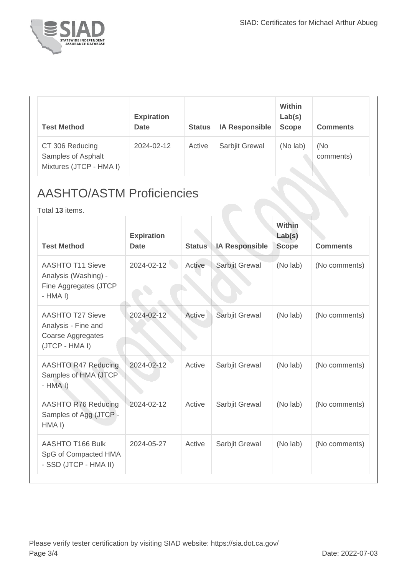

| <b>Test Method</b>                                               | <b>Expiration</b><br><b>Date</b> | <b>Status</b> | <b>IA Responsible</b> | <b>Within</b><br>Lab(s)<br><b>Scope</b> | <b>Comments</b>  |
|------------------------------------------------------------------|----------------------------------|---------------|-----------------------|-----------------------------------------|------------------|
| CT 306 Reducing<br>Samples of Asphalt<br>Mixtures (JTCP - HMA I) | 2024-02-12                       | Active        | Sarbjit Grewal        | (No lab)                                | (No<br>comments) |

## AASHTO/ASTM Proficiencies

Total **13** items.

| <b>Test Method</b>                                                                    | <b>Expiration</b><br><b>Date</b> | <b>Status</b> | <b>IA Responsible</b> | Within<br>Lab(s)<br><b>Scope</b> | <b>Comments</b> |
|---------------------------------------------------------------------------------------|----------------------------------|---------------|-----------------------|----------------------------------|-----------------|
| <b>AASHTO T11 Sieve</b><br>Analysis (Washing) -<br>Fine Aggregates (JTCP<br>$-HMA I)$ | 2024-02-12                       | Active        | Sarbjit Grewal        | (No lab)                         | (No comments)   |
| <b>AASHTO T27 Sieve</b><br>Analysis - Fine and<br>Coarse Aggregates<br>(JTCP - HMA I) | 2024-02-12                       | Active        | Sarbjit Grewal        | (No lab)                         | (No comments)   |
| AASHTO R47 Reducing<br>Samples of HMA (JTCP)<br>$-HMA I)$                             | 2024-02-12                       | Active        | Sarbjit Grewal        | (No lab)                         | (No comments)   |
| <b>AASHTO R76 Reducing</b><br>Samples of Agg (JTCP -<br>HMA <sub>I</sub> )            | 2024-02-12                       | Active        | Sarbjit Grewal        | (No lab)                         | (No comments)   |
| AASHTO T166 Bulk<br>SpG of Compacted HMA<br>- SSD (JTCP - HMA II)                     | 2024-05-27                       | Active        | Sarbjit Grewal        | (No lab)                         | (No comments)   |